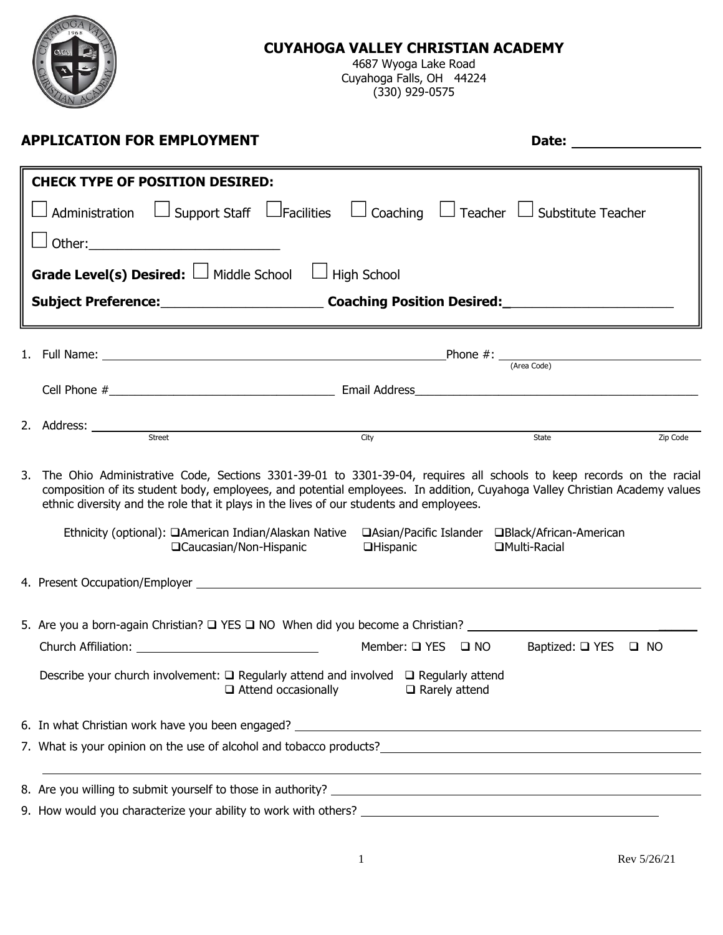

### **CUYAHOGA VALLEY CHRISTIAN ACADEMY**

4687 Wyoga Lake Road Cuyahoga Falls, OH 44224 (330) 929-0575

| <b>CHECK TYPE OF POSITION DESIRED:</b><br>$\Box$ Administration $\quad \Box$ Support Staff $\; \Box$ Facilities $\; \Box$ Coaching $\; \Box$ Teacher $\; \Box$ Substitute Teacher<br><b>Grade Level(s) Desired:</b> $\Box$ Middle School<br>$\Box$ High School<br>Subject Preference: __________________________________Coaching Position Desired: ____________________________                                                                                                                                    |          |
|--------------------------------------------------------------------------------------------------------------------------------------------------------------------------------------------------------------------------------------------------------------------------------------------------------------------------------------------------------------------------------------------------------------------------------------------------------------------------------------------------------------------|----------|
|                                                                                                                                                                                                                                                                                                                                                                                                                                                                                                                    |          |
|                                                                                                                                                                                                                                                                                                                                                                                                                                                                                                                    |          |
|                                                                                                                                                                                                                                                                                                                                                                                                                                                                                                                    |          |
|                                                                                                                                                                                                                                                                                                                                                                                                                                                                                                                    |          |
|                                                                                                                                                                                                                                                                                                                                                                                                                                                                                                                    |          |
|                                                                                                                                                                                                                                                                                                                                                                                                                                                                                                                    |          |
| 1. Full Name: $\frac{1}{(Area Code)}$                                                                                                                                                                                                                                                                                                                                                                                                                                                                              |          |
|                                                                                                                                                                                                                                                                                                                                                                                                                                                                                                                    |          |
|                                                                                                                                                                                                                                                                                                                                                                                                                                                                                                                    |          |
| 2. Address: <u>street street and the street street and the street street street and the street street and the street of the street street of the street street street and the street of the street street street street street a</u><br>State                                                                                                                                                                                                                                                                      | Zip Code |
|                                                                                                                                                                                                                                                                                                                                                                                                                                                                                                                    |          |
| 3. The Ohio Administrative Code, Sections 3301-39-01 to 3301-39-04, requires all schools to keep records on the racial<br>composition of its student body, employees, and potential employees. In addition, Cuyahoga Valley Christian Academy values<br>ethnic diversity and the role that it plays in the lives of our students and employees.<br>Ethnicity (optional): □American Indian/Alaskan Native □Asian/Pacific Islander □Black/African-American<br>□ Caucasian/Non-Hispanic<br>□Hispanic<br>□Multi-Racial |          |
|                                                                                                                                                                                                                                                                                                                                                                                                                                                                                                                    |          |
| 5. Are you a born-again Christian? $\square$ YES $\square$ NO When did you become a Christian?                                                                                                                                                                                                                                                                                                                                                                                                                     |          |
| Church Affiliation: University of the Church Affiliation:<br>Member: $\square$ YES $\square$ NO<br>Baptized: $\Box$ YES $\Box$ NO                                                                                                                                                                                                                                                                                                                                                                                  |          |
| Describe your church involvement: $\square$ Regularly attend and involved $\square$ Regularly attend<br>$\Box$ Attend occasionally<br>$\Box$ Rarely attend                                                                                                                                                                                                                                                                                                                                                         |          |
|                                                                                                                                                                                                                                                                                                                                                                                                                                                                                                                    |          |
| 7. What is your opinion on the use of alcohol and tobacco products?                                                                                                                                                                                                                                                                                                                                                                                                                                                |          |
|                                                                                                                                                                                                                                                                                                                                                                                                                                                                                                                    |          |
|                                                                                                                                                                                                                                                                                                                                                                                                                                                                                                                    |          |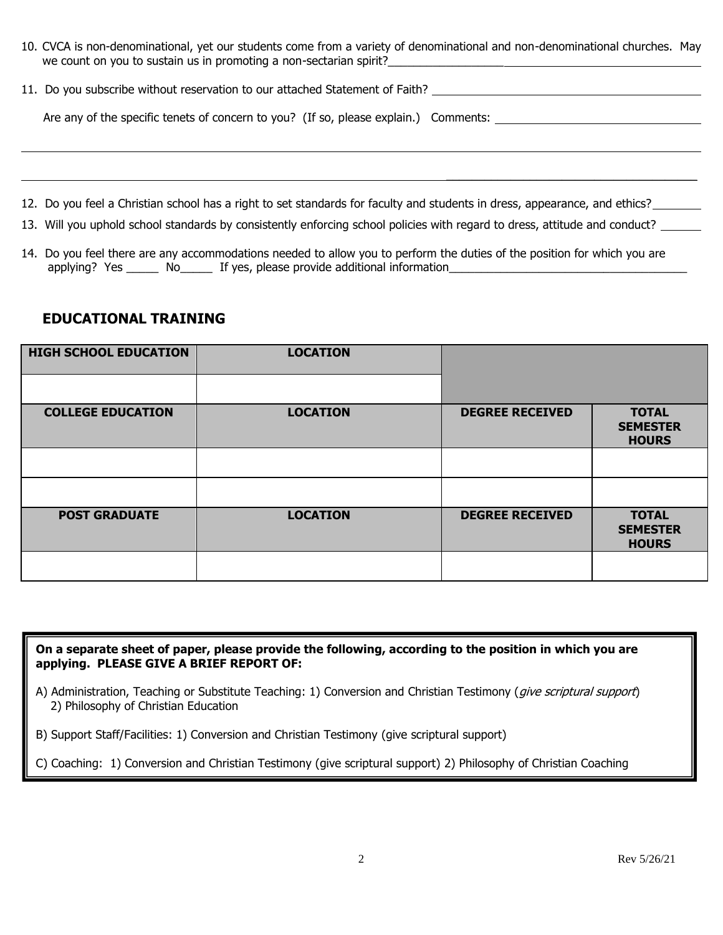| 10. CVCA is non-denominational, yet our students come from a variety of denominational and non-denominational churches. May |  |  |  |  |
|-----------------------------------------------------------------------------------------------------------------------------|--|--|--|--|
| we count on you to sustain us in promoting a non-sectarian spirit?                                                          |  |  |  |  |

 $\mathcal{L}_\text{max}$  and  $\mathcal{L}_\text{max}$  and  $\mathcal{L}_\text{max}$  and  $\mathcal{L}_\text{max}$ 

|  |  |  |  | 11. Do you subscribe without reservation to our attached Statement of Faith? |  |
|--|--|--|--|------------------------------------------------------------------------------|--|
|--|--|--|--|------------------------------------------------------------------------------|--|

Are any of the specific tenets of concern to you? (If so, please explain.) Comments:

12. Do you feel a Christian school has a right to set standards for faculty and students in dress, appearance, and ethics?

13. Will you uphold school standards by consistently enforcing school policies with regard to dress, attitude and conduct?

14. Do you feel there are any accommodations needed to allow you to perform the duties of the position for which you are applying? Yes \_\_\_\_\_\_ No\_\_\_\_\_\_ If yes, please provide additional information\_\_\_\_\_\_

#### **EDUCATIONAL TRAINING**

| <b>HIGH SCHOOL EDUCATION</b> | <b>LOCATION</b> |                        |                                                 |
|------------------------------|-----------------|------------------------|-------------------------------------------------|
|                              |                 |                        |                                                 |
| <b>COLLEGE EDUCATION</b>     | <b>LOCATION</b> | <b>DEGREE RECEIVED</b> | <b>TOTAL</b><br><b>SEMESTER</b><br><b>HOURS</b> |
|                              |                 |                        |                                                 |
|                              |                 |                        |                                                 |
| <b>POST GRADUATE</b>         | <b>LOCATION</b> | <b>DEGREE RECEIVED</b> | <b>TOTAL</b><br><b>SEMESTER</b><br><b>HOURS</b> |
|                              |                 |                        |                                                 |

**On a separate sheet of paper, please provide the following, according to the position in which you are applying. PLEASE GIVE A BRIEF REPORT OF:**

A) Administration, Teaching or Substitute Teaching: 1) Conversion and Christian Testimony (*give scriptural support*) 2) Philosophy of Christian Education

B) Support Staff/Facilities: 1) Conversion and Christian Testimony (give scriptural support)

C) Coaching: 1) Conversion and Christian Testimony (give scriptural support) 2) Philosophy of Christian Coaching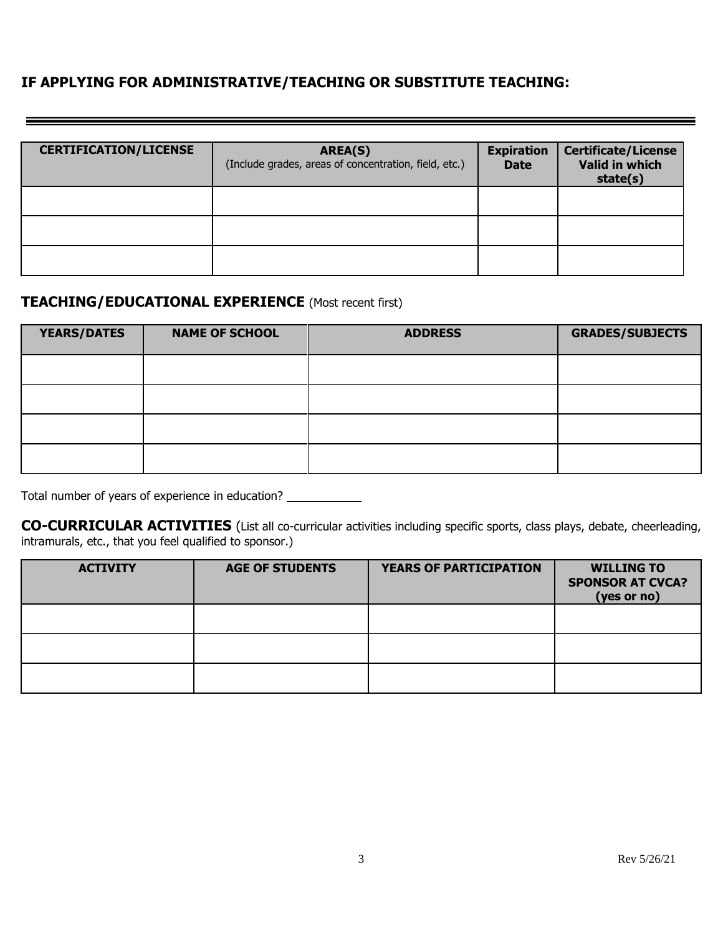### **IF APPLYING FOR ADMINISTRATIVE/TEACHING OR SUBSTITUTE TEACHING:**

| <b>CERTIFICATION/LICENSE</b> | AREA(S)<br>(Include grades, areas of concentration, field, etc.) | <b>Expiration</b><br><b>Date</b> | <b>Certificate/License</b><br>Valid in which<br>state(s) |
|------------------------------|------------------------------------------------------------------|----------------------------------|----------------------------------------------------------|
|                              |                                                                  |                                  |                                                          |
|                              |                                                                  |                                  |                                                          |
|                              |                                                                  |                                  |                                                          |

### **TEACHING/EDUCATIONAL EXPERIENCE** (Most recent first)

| <b>YEARS/DATES</b> | <b>NAME OF SCHOOL</b> | <b>ADDRESS</b> | <b>GRADES/SUBJECTS</b> |
|--------------------|-----------------------|----------------|------------------------|
|                    |                       |                |                        |
|                    |                       |                |                        |
|                    |                       |                |                        |
|                    |                       |                |                        |

Total number of years of experience in education?

**CO-CURRICULAR ACTIVITIES** (List all co-curricular activities including specific sports, class plays, debate, cheerleading, intramurals, etc., that you feel qualified to sponsor.)

| <b>ACTIVITY</b> | <b>AGE OF STUDENTS</b> | <b>YEARS OF PARTICIPATION</b> | <b>WILLING TO</b><br><b>SPONSOR AT CVCA?</b><br>(yes or no) |
|-----------------|------------------------|-------------------------------|-------------------------------------------------------------|
|                 |                        |                               |                                                             |
|                 |                        |                               |                                                             |
|                 |                        |                               |                                                             |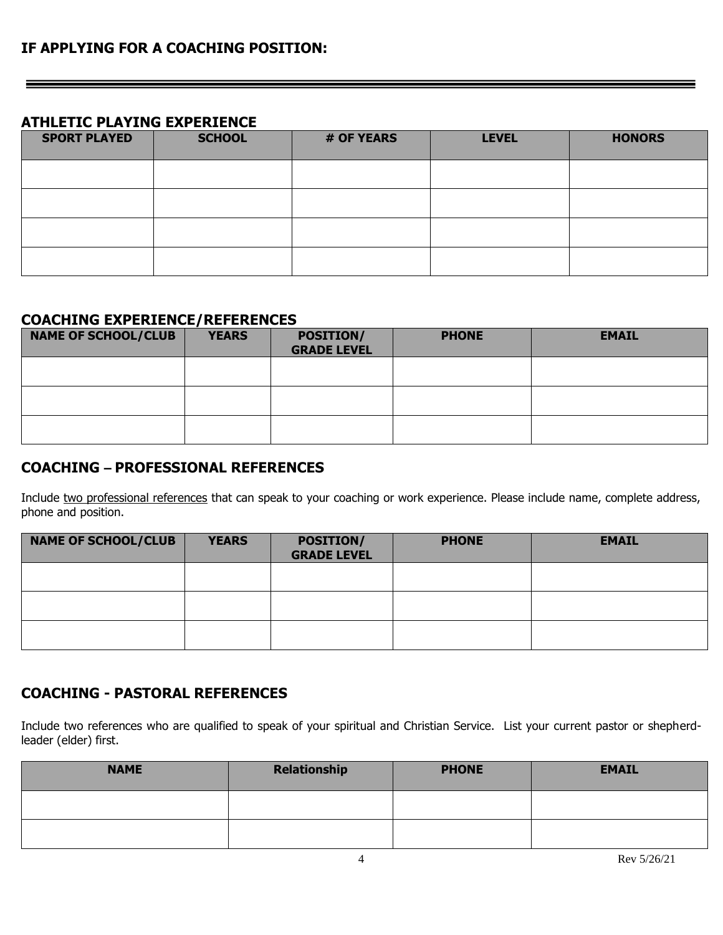### **ATHLETIC PLAYING EXPERIENCE**

| <b>SPORT PLAYED</b> | <b>SCHOOL</b> | # OF YEARS | <b>LEVEL</b> | <b>HONORS</b> |
|---------------------|---------------|------------|--------------|---------------|
|                     |               |            |              |               |
|                     |               |            |              |               |
|                     |               |            |              |               |
|                     |               |            |              |               |

#### **COACHING EXPERIENCE/REFERENCES**

| <b>NAME OF SCHOOL/CLUB</b> | <b>YEARS</b> | <b>POSITION/</b><br><b>GRADE LEVEL</b> | <b>PHONE</b> | <b>EMAIL</b> |
|----------------------------|--------------|----------------------------------------|--------------|--------------|
|                            |              |                                        |              |              |
|                            |              |                                        |              |              |
|                            |              |                                        |              |              |

### **COACHING – PROFESSIONAL REFERENCES**

Include two professional references that can speak to your coaching or work experience. Please include name, complete address, phone and position.

| <b>NAME OF SCHOOL/CLUB</b> | <b>YEARS</b> | <b>POSITION/</b><br><b>GRADE LEVEL</b> | <b>PHONE</b> | <b>EMAIL</b> |
|----------------------------|--------------|----------------------------------------|--------------|--------------|
|                            |              |                                        |              |              |
|                            |              |                                        |              |              |
|                            |              |                                        |              |              |

### **COACHING - PASTORAL REFERENCES**

Include two references who are qualified to speak of your spiritual and Christian Service. List your current pastor or shepherdleader (elder) first.

| <b>NAME</b> | Relationship | <b>PHONE</b> | <b>EMAIL</b> |
|-------------|--------------|--------------|--------------|
|             |              |              |              |
|             |              |              |              |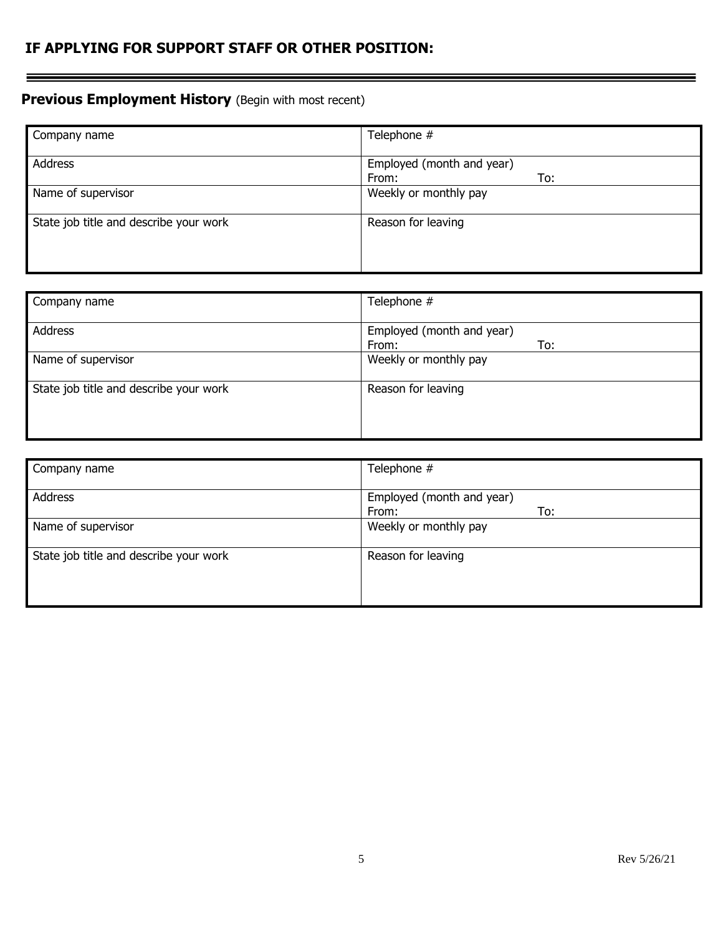### **IF APPLYING FOR SUPPORT STAFF OR OTHER POSITION:**

## **Previous Employment History** (Begin with most recent)

| Company name                           | Telephone #               |
|----------------------------------------|---------------------------|
|                                        |                           |
| Address                                | Employed (month and year) |
|                                        | To:<br>From:              |
| Name of supervisor                     | Weekly or monthly pay     |
| State job title and describe your work | Reason for leaving        |
|                                        |                           |
|                                        |                           |
|                                        |                           |

| Company name                           | Telephone #                               |
|----------------------------------------|-------------------------------------------|
| Address                                | Employed (month and year)<br>To:<br>From: |
| Name of supervisor                     | Weekly or monthly pay                     |
| State job title and describe your work | Reason for leaving                        |

| Company name                           | Telephone #                               |
|----------------------------------------|-------------------------------------------|
| <b>Address</b>                         | Employed (month and year)<br>To:<br>From: |
| Name of supervisor                     | Weekly or monthly pay                     |
| State job title and describe your work | Reason for leaving                        |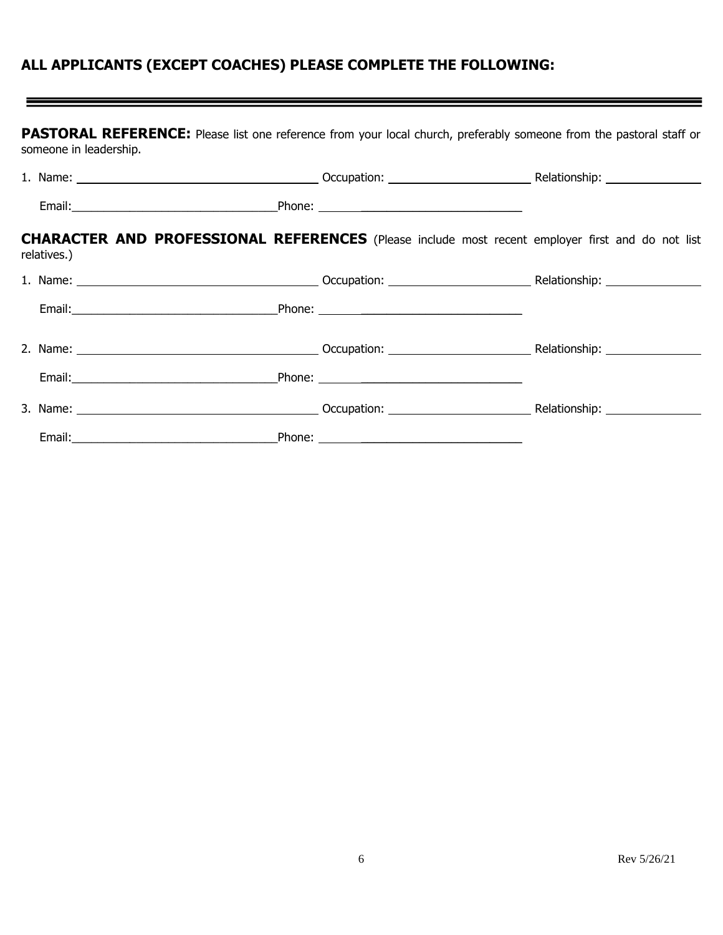# **ALL APPLICANTS (EXCEPT COACHES) PLEASE COMPLETE THE FOLLOWING:**

| PASTORAL REFERENCE: Please list one reference from your local church, preferably someone from the pastoral staff or |  |  |  |  |  |  |  |
|---------------------------------------------------------------------------------------------------------------------|--|--|--|--|--|--|--|
| someone in leadership.                                                                                              |  |  |  |  |  |  |  |

|  | <b>CHARACTER AND PROFESSIONAL REFERENCES</b> (Please include most recent employer first and do not list<br>relatives.) |  |  |  |  |  |
|--|------------------------------------------------------------------------------------------------------------------------|--|--|--|--|--|
|  |                                                                                                                        |  |  |  |  |  |
|  |                                                                                                                        |  |  |  |  |  |
|  |                                                                                                                        |  |  |  |  |  |
|  |                                                                                                                        |  |  |  |  |  |
|  |                                                                                                                        |  |  |  |  |  |
|  |                                                                                                                        |  |  |  |  |  |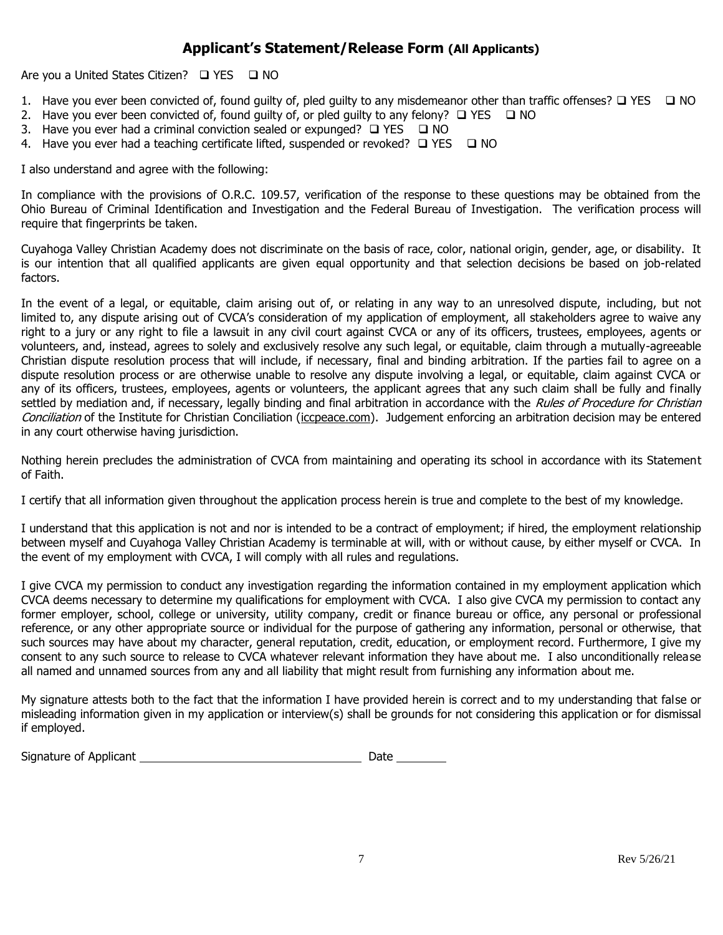### **Applicant's Statement/Release Form (All Applicants)**

Are you a United States Citizen? □ YES □ NO

- 1. Have you ever been convicted of, found guilty of, pled guilty to any misdemeanor other than traffic offenses? ❑ YES ❑ NO
- 2. Have you ever been convicted of, found guilty of, or pled guilty to any felony?  $\Box$  YES  $\Box$  NO
- 3. Have you ever had a criminal conviction sealed or expunged? ❑ YES ❑ NO
- 4. Have you ever had a teaching certificate lifted, suspended or revoked? ❑ YES ❑ NO

I also understand and agree with the following:

In compliance with the provisions of O.R.C. 109.57, verification of the response to these questions may be obtained from the Ohio Bureau of Criminal Identification and Investigation and the Federal Bureau of Investigation. The verification process will require that fingerprints be taken.

Cuyahoga Valley Christian Academy does not discriminate on the basis of race, color, national origin, gender, age, or disability. It is our intention that all qualified applicants are given equal opportunity and that selection decisions be based on job-related factors.

In the event of a legal, or equitable, claim arising out of, or relating in any way to an unresolved dispute, including, but not limited to, any dispute arising out of CVCA's consideration of my application of employment, all stakeholders agree to waive any right to a jury or any right to file a lawsuit in any civil court against CVCA or any of its officers, trustees, employees, agents or volunteers, and, instead, agrees to solely and exclusively resolve any such legal, or equitable, claim through a mutually-agreeable Christian dispute resolution process that will include, if necessary, final and binding arbitration. If the parties fail to agree on a dispute resolution process or are otherwise unable to resolve any dispute involving a legal, or equitable, claim against CVCA or any of its officers, trustees, employees, agents or volunteers, the applicant agrees that any such claim shall be fully and finally settled by mediation and, if necessary, legally binding and final arbitration in accordance with the Rules of Procedure for Christian Conciliation of the Institute for Christian Conciliation (iccpeace.com). Judgement enforcing an arbitration decision may be entered in any court otherwise having jurisdiction.

Nothing herein precludes the administration of CVCA from maintaining and operating its school in accordance with its Statement of Faith.

I certify that all information given throughout the application process herein is true and complete to the best of my knowledge.

I understand that this application is not and nor is intended to be a contract of employment; if hired, the employment relationship between myself and Cuyahoga Valley Christian Academy is terminable at will, with or without cause, by either myself or CVCA. In the event of my employment with CVCA, I will comply with all rules and regulations.

I give CVCA my permission to conduct any investigation regarding the information contained in my employment application which CVCA deems necessary to determine my qualifications for employment with CVCA. I also give CVCA my permission to contact any former employer, school, college or university, utility company, credit or finance bureau or office, any personal or professional reference, or any other appropriate source or individual for the purpose of gathering any information, personal or otherwise, that such sources may have about my character, general reputation, credit, education, or employment record. Furthermore, I give my consent to any such source to release to CVCA whatever relevant information they have about me. I also unconditionally release all named and unnamed sources from any and all liability that might result from furnishing any information about me.

My signature attests both to the fact that the information I have provided herein is correct and to my understanding that false or misleading information given in my application or interview(s) shall be grounds for not considering this application or for dismissal if employed.

| Signature of Applicant | Date |
|------------------------|------|
|                        |      |